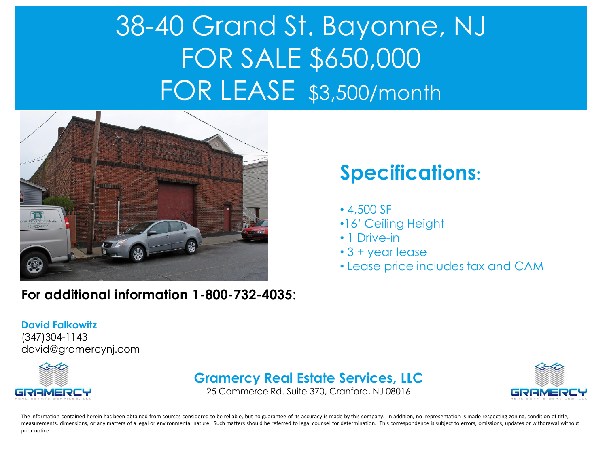# 38-40 Grand St. Bayonne, NJ FOR SALE \$650,000 FOR LEASE \$3,500/month



#### **For additional information 1-800-732-4035**:

## **Specifications:**

- 4,500 SF
- •16' Ceiling Height
- 1 Drive-in
- 3 + year lease
- Lease price includes tax and CAM

#### **David Falkowitz**

(347)304-1143 david@gramercynj.com



### **Gramercy Real Estate Services, LLC**

25 Commerce Rd. Suite 370, Cranford, NJ 08016



The information contained herein has been obtained from sources considered to be reliable, but no guarantee of its accuracy is made by this company. In addition, no representation is made respecting zoning, condition of ti measurements, dimensions, or any matters of a legal or environmental nature. Such matters should be referred to legal counsel for determination. This correspondence is subject to errors, omissions, updates or withdrawal wi prior notice.